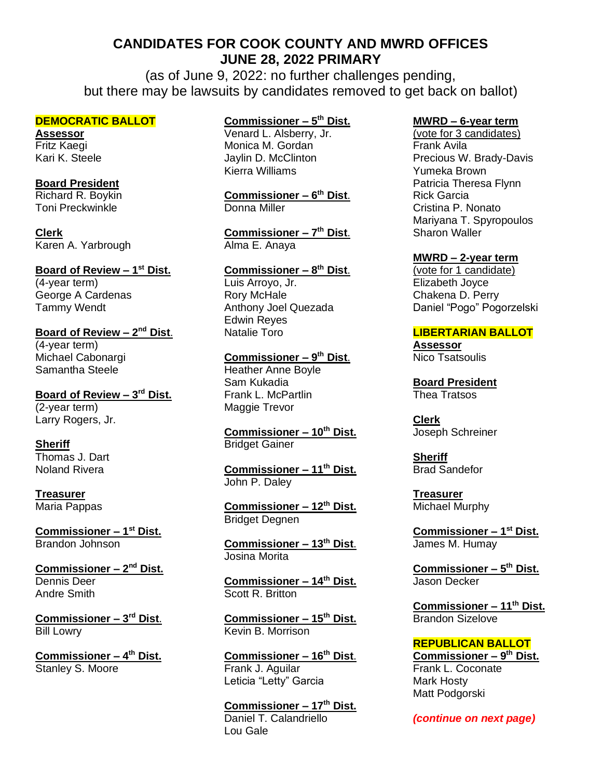# **CANDIDATES FOR COOK COUNTY AND MWRD OFFICES JUNE 28, 2022 PRIMARY**

(as of June 9, 2022: no further challenges pending, but there may be lawsuits by candidates removed to get back on ballot)

### **DEMOCRATIC BALLOT**

**Assessor** Fritz Kaegi Kari K. Steele

### **Board President**

Richard R. Boykin Toni Preckwinkle

**Clerk** Karen A. Yarbrough

**Board of Review - 1st Dist.** (4-year term) George A Cardenas Tammy Wendt

**Board of Review – 2<sup>nd</sup> Dist.** (4-year term) Michael Cabonargi Samantha Steele

**Board of Review – 3 rd Dist.** (2-year term) Larry Rogers, Jr.

#### **Sheriff** Thomas J. Dart Noland Rivera

**Treasurer**

Maria Pappas

**Commissioner – 1 st Dist.** Brandon Johnson

**Commissioner – 2 nd Dist.** Dennis Deer Andre Smith

**Commissioner – 3 rd Dist**. Bill Lowry

**Commissioner – 4 th Dist.** Stanley S. Moore

## **Commissioner – 5 th Dist.**

Venard L. Alsberry, Jr. Monica M. Gordan Jaylin D. McClinton Kierra Williams

**Commissioner – 6 th Dist**. Donna Miller

**Commissioner – 7 th Dist**. Alma E. Anaya

**Commissioner – 8 th Dist**. Luis Arroyo, Jr. Rory McHale Anthony Joel Quezada Edwin Reyes Natalie Toro

**Commissioner – 9 th Dist**. Heather Anne Boyle Sam Kukadia Frank L. McPartlin Maggie Trevor

**Commissioner – 10th Dist.** Bridget Gainer

**Commissioner – 11th Dist.** John P. Daley

**Commissioner – 12th Dist.** Bridget Degnen

**Commissioner – 13th Dist**. Josina Morita

**Commissioner – 14th Dist.** Scott R. Britton

**Commissioner – 15th Dist.** Kevin B. Morrison

**Commissioner – 16th Dist**. Frank J. Aguilar Leticia "Letty" Garcia

**Commissioner – 17th Dist.** Daniel T. Calandriello Lou Gale

### **MWRD – 6-year term**

(vote for 3 candidates) Frank Avila Precious W. Brady-Davis Yumeka Brown Patricia Theresa Flynn Rick Garcia Cristina P. Nonato Mariyana T. Spyropoulos Sharon Waller

### **MWRD – 2-year term**

(vote for 1 candidate) Elizabeth Joyce Chakena D. Perry Daniel "Pogo" Pogorzelski

### **LIBERTARIAN BALLOT**

**Assessor** Nico Tsatsoulis

**Board President** Thea Tratsos

**Clerk** Joseph Schreiner

**Sheriff** Brad Sandefor

**Treasurer** Michael Murphy

**Commissioner – 1 st Dist.** James M. Humay

**Commissioner – 5 th Dist.** Jason Decker

**Commissioner – 11th Dist.** Brandon Sizelove

# **REPUBLICAN BALLOT**

**Commissioner – 9 th Dist.** Frank L. Coconate Mark Hosty Matt Podgorski

*(continue on next page)*